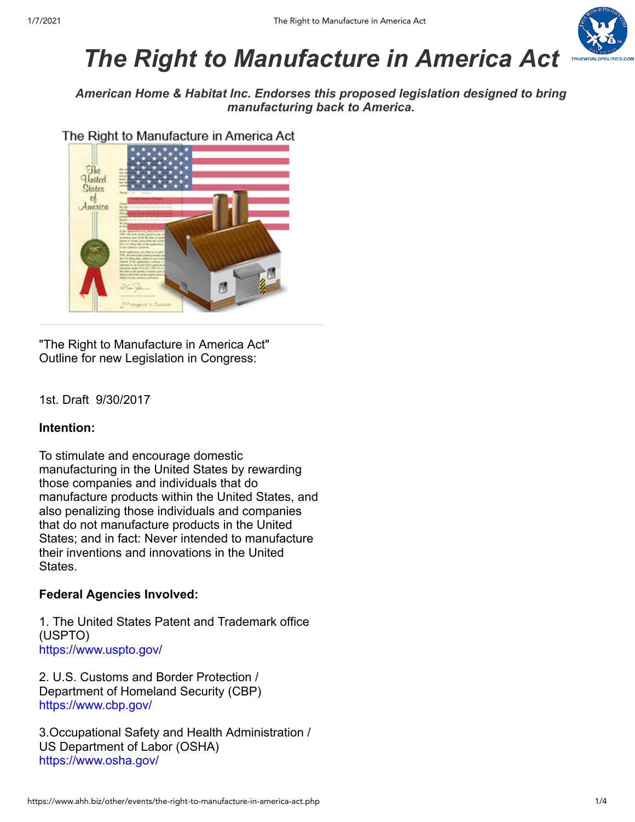

# *The Right to Manufacture in America Act*

*American Home & Habitat Inc. Endorses this proposed legislation designed to bring manufacturing back to America.*

The Right to Manufacture in America Act



"The Right to Manufacture in America Act" Outline for new Legislation in Congress:

# 1st. Draft 9/30/2017

# **Intention:**

To stimulate and encourage domestic manufacturing in the United States by rewarding those companies and individuals that do manufacture products within the United States, and also penalizing those individuals and companies that do not manufacture products in the United States; and in fact: Never intended to manufacture their inventions and innovations in the United States.

# **Federal Agencies Involved:**

1. The United States Patent and Trademark office (USPTO) <https://www.uspto.gov/>

2. U.S. Customs and Border Protection / Department of Homeland Security (CBP) <https://www.cbp.gov/>

3.Occupational Safety and Health Administration / US Department of Labor (OSHA) <https://www.osha.gov/>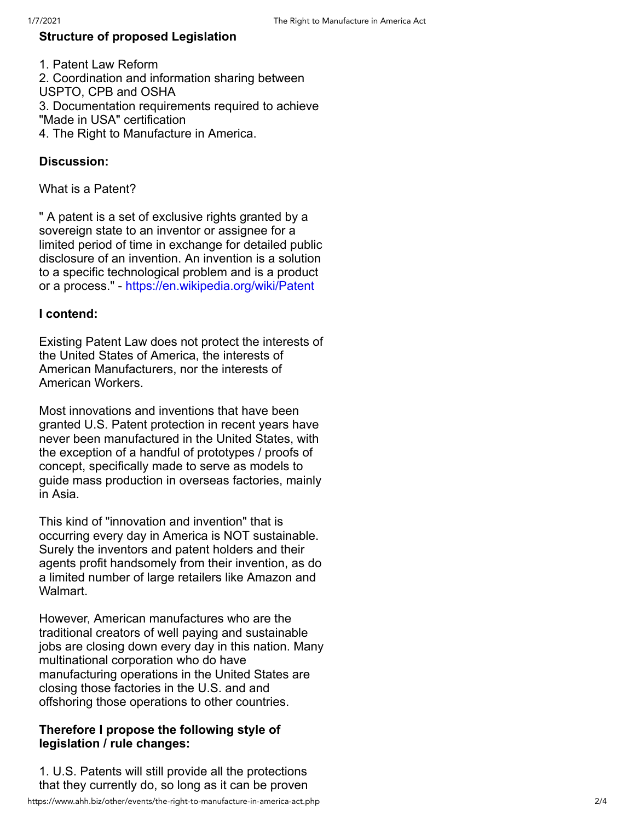# **Structure of proposed Legislation**

1. Patent Law Reform 2. Coordination and information sharing between USPTO, CPB and OSHA 3. Documentation requirements required to achieve "Made in USA" certification 4. The Right to Manufacture in America.

## **Discussion:**

What is a Patent?

" A patent is a set of exclusive rights granted by a sovereign state to an inventor or assignee for a limited period of time in exchange for detailed public disclosure of an invention. An invention is a solution to a specific technological problem and is a product or a process." - <https://en.wikipedia.org/wiki/Patent>

### **I contend:**

Existing Patent Law does not protect the interests of the United States of America, the interests of American Manufacturers, nor the interests of American Workers.

Most innovations and inventions that have been granted U.S. Patent protection in recent years have never been manufactured in the United States, with the exception of a handful of prototypes / proofs of concept, specifically made to serve as models to guide mass production in overseas factories, mainly in Asia.

This kind of "innovation and invention" that is occurring every day in America is NOT sustainable. Surely the inventors and patent holders and their agents profit handsomely from their invention, as do a limited number of large retailers like Amazon and Walmart.

However, American manufactures who are the traditional creators of well paying and sustainable jobs are closing down every day in this nation. Many multinational corporation who do have manufacturing operations in the United States are closing those factories in the U.S. and and offshoring those operations to other countries.

### **Therefore I propose the following style of legislation / rule changes:**

1. U.S. Patents will still provide all the protections that they currently do, so long as it can be proven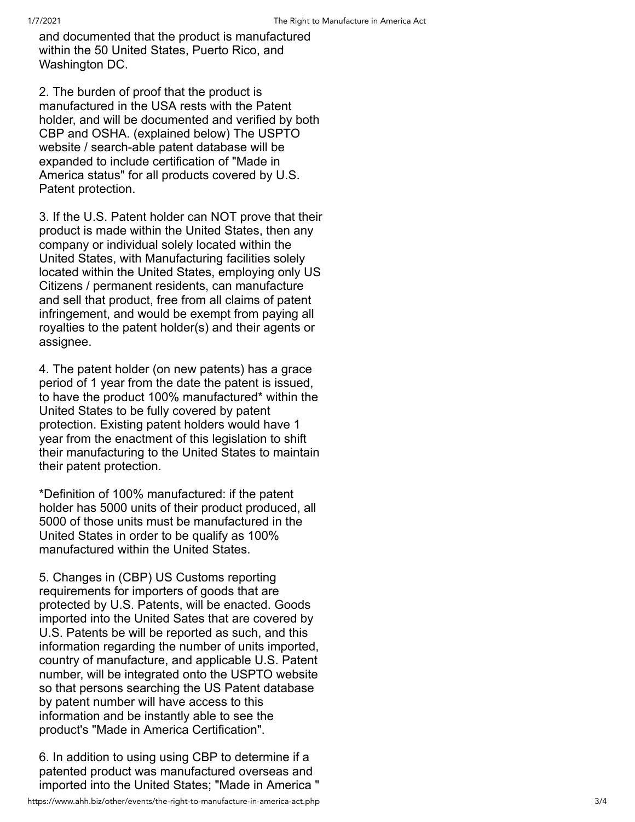and documented that the product is manufactured within the 50 United States, Puerto Rico, and Washington DC.

2. The burden of proof that the product is manufactured in the USA rests with the Patent holder, and will be documented and verified by both CBP and OSHA. (explained below) The USPT O website / search-able patent database will be expanded to include certification of "Made in America status" for all products covered by U.S. Patent protection.

3. If the U.S. Patent holder can NOT prove that their product is made within the United States, then any company or individual solely located within the United States, with Manufacturing facilities solely located within the United States, employing only US Citizens / permanent residents, can manufacture and sell that product, free from all claims of patent infringement, and would be exempt from paying all royalties to the patent holder(s) and their agents or assignee.

4. The patent holder (on new patents) has a grace period of 1 year from the date the patent is issued, to have the product 100% manufactured\* within the United States to be fully covered by patent protection. Existing patent holders would have 1 year from the enactment of this legislation to shift their manufacturing to the United States to maintain their patent protection.

\*Definition of 100% manufactured: if the patent holder has 5000 units of their product produced, all 5000 of those units must be manufactured in the United States in order to be qualify as 100% manufactured within the United States.

5. Changes in (CBP) US Customs reporting requirements for importers of goods that are protected by U.S. Patents, will be enacted. Goods imported into the United Sates that are covered by U.S. Patents be will be reported as such, and this information regarding the number of units imported, country of manufacture, and applicable U.S. Patent number, will be integrated onto the USPTO website so that persons searching the US Patent database by patent number will have access to this information and be instantly able to see the product's "Made in America Certification".

6. In addition to using using CBP to determine if a patented product was manufactured overseas and imported into the United States; "Made in America "